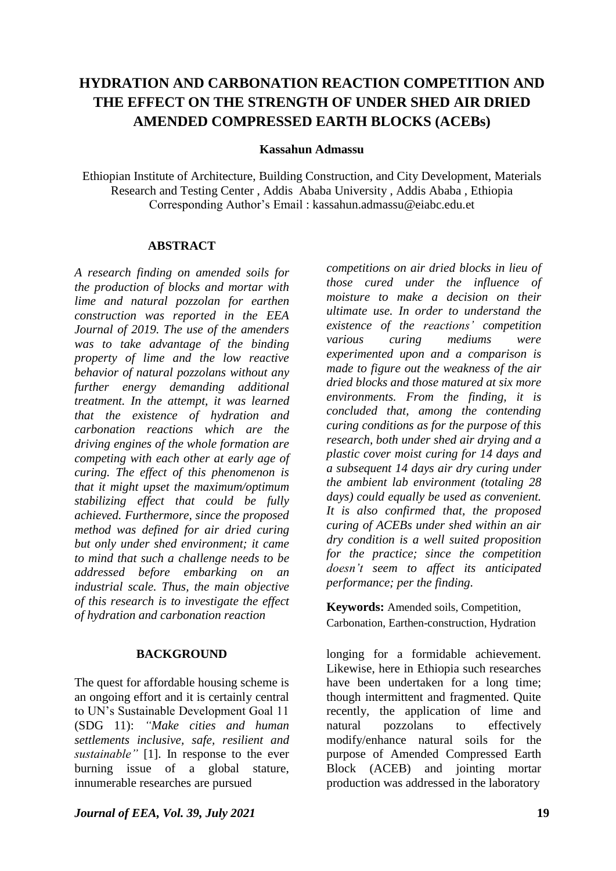# **HYDRATION AND CARBONATION REACTION COMPETITION AND THE EFFECT ON THE STRENGTH OF UNDER SHED AIR DRIED AMENDED COMPRESSED EARTH BLOCKS (ACEBs)**

#### **Kassahun Admassu**

Ethiopian Institute of Architecture, Building Construction, and City Development, Materials Research and Testing Center , Addis Ababa University , Addis Ababa , Ethiopia Corresponding Author's Email : kassahun.admassu@eiabc.edu.et

### **ABSTRACT**

*A research finding on amended soils for the production of blocks and mortar with lime and natural pozzolan for earthen construction was reported in the EEA Journal of 2019. The use of the amenders was to take advantage of the binding property of lime and the low reactive behavior of natural pozzolans without any further energy demanding additional treatment. In the attempt, it was learned that the existence of hydration and carbonation reactions which are the driving engines of the whole formation are competing with each other at early age of curing. The effect of this phenomenon is that it might upset the maximum/optimum stabilizing effect that could be fully achieved. Furthermore, since the proposed method was defined for air dried curing but only under shed environment; it came to mind that such a challenge needs to be addressed before embarking on an industrial scale. Thus, the main objective of this research is to investigate the effect of hydration and carbonation reaction* 

### **BACKGROUND**

The quest for affordable housing scheme is an ongoing effort and it is certainly central to UN's Sustainable Development Goal 11 (SDG 11): *"Make cities and human settlements inclusive, safe, resilient and sustainable"* [1]. In response to the ever burning issue of a global stature, innumerable researches are pursued

*competitions on air dried blocks in lieu of those cured under the influence of moisture to make a decision on their ultimate use. In order to understand the existence of the reactions' competition various curing mediums were experimented upon and a comparison is made to figure out the weakness of the air dried blocks and those matured at six more environments. From the finding, it is concluded that, among the contending curing conditions as for the purpose of this research, both under shed air drying and a plastic cover moist curing for 14 days and a subsequent 14 days air dry curing under the ambient lab environment (totaling 28 days) could equally be used as convenient. It is also confirmed that, the proposed curing of ACEBs under shed within an air dry condition is a well suited proposition for the practice; since the competition doesn't seem to affect its anticipated performance; per the finding.*

**Keywords:** Amended soils, Competition, Carbonation, Earthen-construction, Hydration

longing for a formidable achievement. Likewise, here in Ethiopia such researches have been undertaken for a long time; though intermittent and fragmented. Quite recently, the application of lime and natural pozzolans to effectively modify/enhance natural soils for the purpose of Amended Compressed Earth Block (ACEB) and jointing mortar production was addressed in the laboratory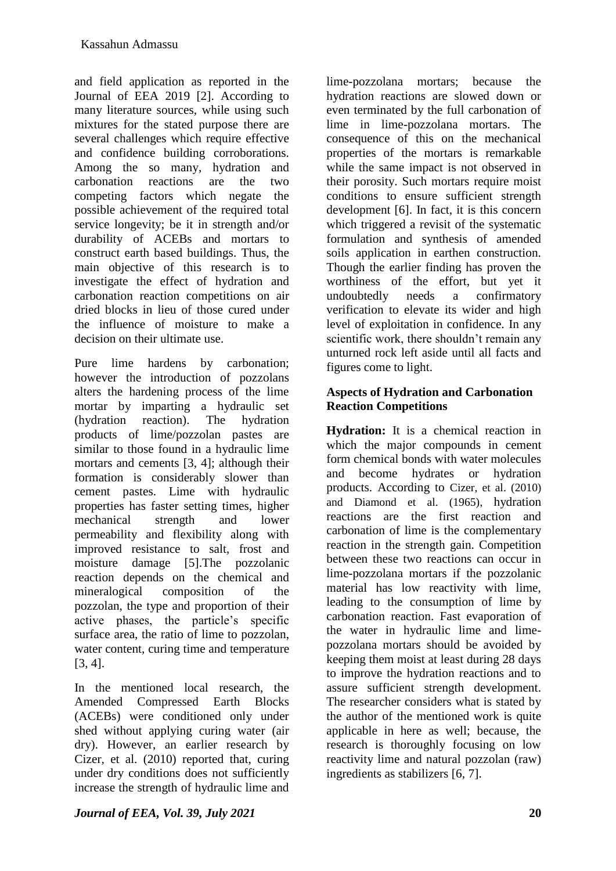and field application as reported in the Journal of EEA 2019 [2]. According to many literature sources, while using such mixtures for the stated purpose there are several challenges which require effective and confidence building corroborations. Among the so many, hydration and carbonation reactions are the two competing factors which negate the possible achievement of the required total service longevity; be it in strength and/or durability of ACEBs and mortars to construct earth based buildings. Thus, the main objective of this research is to investigate the effect of hydration and carbonation reaction competitions on air dried blocks in lieu of those cured under the influence of moisture to make a decision on their ultimate use.

Pure lime hardens by carbonation; however the introduction of pozzolans alters the hardening process of the lime mortar by imparting a hydraulic set (hydration reaction). The hydration products of lime/pozzolan pastes are similar to those found in a hydraulic lime mortars and cements [3, 4]; although their formation is considerably slower than cement pastes. Lime with hydraulic properties has faster setting times, higher mechanical strength and lower permeability and flexibility along with improved resistance to salt, frost and moisture damage [5].The pozzolanic reaction depends on the chemical and mineralogical composition of the pozzolan, the type and proportion of their active phases, the particle's specific surface area, the ratio of lime to pozzolan, water content, curing time and temperature [3, 4].

In the mentioned local research, the Amended Compressed Earth Blocks (ACEBs) were conditioned only under shed without applying curing water (air dry). However, an earlier research by Cizer, et al. (2010) reported that, curing under dry conditions does not sufficiently increase the strength of hydraulic lime and lime-pozzolana mortars; because the hydration reactions are slowed down or even terminated by the full carbonation of lime in lime-pozzolana mortars. The consequence of this on the mechanical properties of the mortars is remarkable while the same impact is not observed in their porosity. Such mortars require moist conditions to ensure sufficient strength development [6]. In fact, it is this concern which triggered a revisit of the systematic formulation and synthesis of amended soils application in earthen construction. Though the earlier finding has proven the worthiness of the effort, but yet it undoubtedly needs a confirmatory verification to elevate its wider and high level of exploitation in confidence. In any scientific work, there shouldn't remain any unturned rock left aside until all facts and figures come to light.

## **Aspects of Hydration and Carbonation Reaction Competitions**

**Hydration:** It is a chemical reaction in which the major compounds in cement form chemical bonds with water molecules and become hydrates or hydration products. According to Cizer, et al. (2010) and Diamond et al. (1965), hydration reactions are the first reaction and carbonation of lime is the complementary reaction in the strength gain. Competition between these two reactions can occur in lime-pozzolana mortars if the pozzolanic material has low reactivity with lime, leading to the consumption of lime by carbonation reaction. Fast evaporation of the water in hydraulic lime and limepozzolana mortars should be avoided by keeping them moist at least during 28 days to improve the hydration reactions and to assure sufficient strength development. The researcher considers what is stated by the author of the mentioned work is quite applicable in here as well; because, the research is thoroughly focusing on low reactivity lime and natural pozzolan (raw) ingredients as stabilizers [6, 7].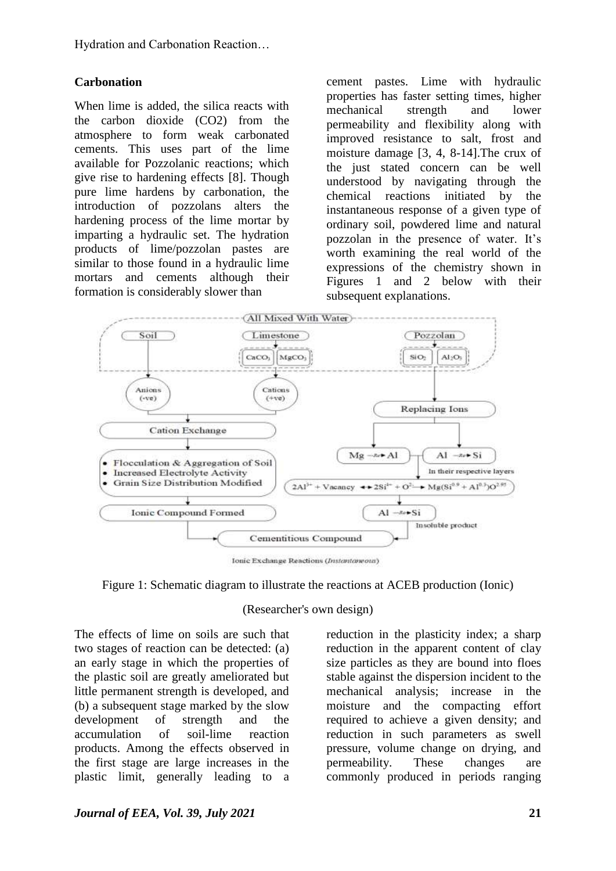Hydration and Carbonation Reaction…

### **Carbonation**

When lime is added, the silica reacts with the carbon dioxide (CO2) from the atmosphere to form weak carbonated cements. This uses part of the lime available for Pozzolanic reactions; which give rise to hardening effects [8]. Though pure lime hardens by carbonation, the introduction of pozzolans alters the hardening process of the lime mortar by imparting a hydraulic set. The hydration products of lime/pozzolan pastes are similar to those found in a hydraulic lime mortars and cements although their formation is considerably slower than

cement pastes. Lime with hydraulic properties has faster setting times, higher mechanical strength and lower permeability and flexibility along with improved resistance to salt, frost and moisture damage [3, 4, 8-14].The crux of the just stated concern can be well understood by navigating through the chemical reactions initiated by the instantaneous response of a given type of ordinary soil, powdered lime and natural pozzolan in the presence of water. It's worth examining the real world of the expressions of the chemistry shown in Figures 1 and 2 below with their subsequent explanations.



Ionic Exchange Reactions (Instantaneous)

Figure 1: Schematic diagram to illustrate the reactions at ACEB production (Ionic)

#### (Researcher's own design)

The effects of lime on soils are such that two stages of reaction can be detected: (a) an early stage in which the properties of the plastic soil are greatly ameliorated but little permanent strength is developed, and (b) a subsequent stage marked by the slow development of strength and the accumulation of soil-lime reaction products. Among the effects observed in the first stage are large increases in the plastic limit, generally leading to a

reduction in the plasticity index; a sharp reduction in the apparent content of clay size particles as they are bound into floes stable against the dispersion incident to the mechanical analysis; increase in the moisture and the compacting effort required to achieve a given density; and reduction in such parameters as swell pressure, volume change on drying, and permeability. These changes are commonly produced in periods ranging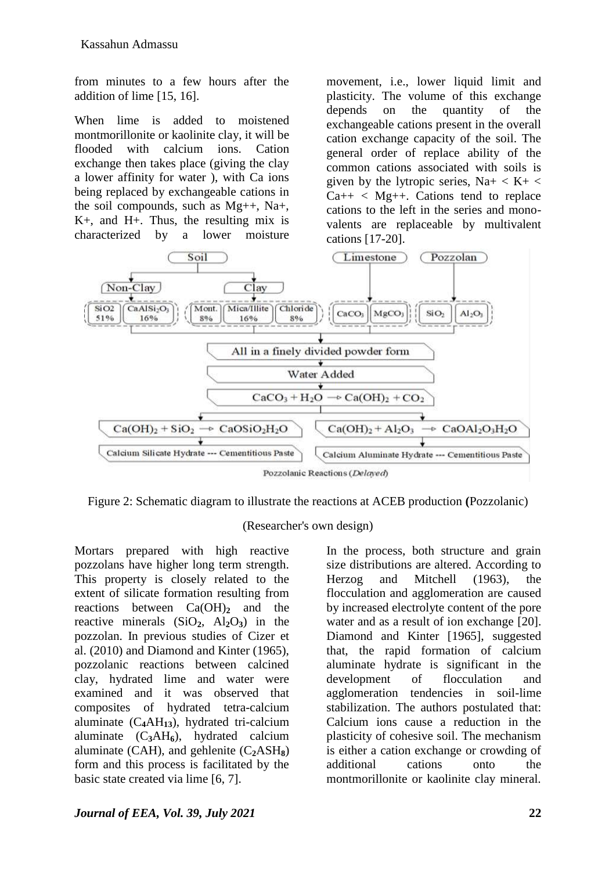from minutes to a few hours after the addition of lime [15, 16].

When lime is added to moistened montmorillonite or kaolinite clay, it will be flooded with calcium ions. Cation exchange then takes place (giving the clay a lower affinity for water ), with Ca ions being replaced by exchangeable cations in the soil compounds, such as Mg++, Na+, K+, and H+. Thus, the resulting mix is characterized by a lower moisture

movement, i.e., lower liquid limit and plasticity. The volume of this exchange depends on the quantity of the exchangeable cations present in the overall cation exchange capacity of the soil. The general order of replace ability of the common cations associated with soils is given by the lytropic series,  $Na+ < K+ <$  $Ca++ < Mg++$ . Cations tend to replace cations to the left in the series and monovalents are replaceable by multivalent cations [17-20].



Figure 2: Schematic diagram to illustrate the reactions at ACEB production **(**Pozzolanic)

#### (Researcher's own design)

Mortars prepared with high reactive pozzolans have higher long term strength. This property is closely related to the extent of silicate formation resulting from reactions between Ca(OH)<sub>2</sub> and the reactive minerals  $(SiO<sub>2</sub>, Al<sub>2</sub>O<sub>3</sub>)$  in the pozzolan. In previous studies of Cizer et al. (2010) and Diamond and Kinter (1965), pozzolanic reactions between calcined clay, hydrated lime and water were examined and it was observed that composites of hydrated tetra-calcium aluminate (C**4**AH**13**), hydrated tri-calcium aluminate (C**3**AH**6**), hydrated calcium aluminate (CAH), and gehlenite (C**2**ASH**8**) form and this process is facilitated by the basic state created via lime [6, 7].

In the process, both structure and grain size distributions are altered. According to Herzog and Mitchell (1963), the flocculation and agglomeration are caused by increased electrolyte content of the pore water and as a result of ion exchange [20]. Diamond and Kinter [1965], suggested that, the rapid formation of calcium aluminate hydrate is significant in the development of flocculation and agglomeration tendencies in soil-lime stabilization. The authors postulated that: Calcium ions cause a reduction in the plasticity of cohesive soil. The mechanism is either a cation exchange or crowding of additional cations onto the montmorillonite or kaolinite clay mineral.

## *Journal of EEA, Vol. 39, July 2021* **22**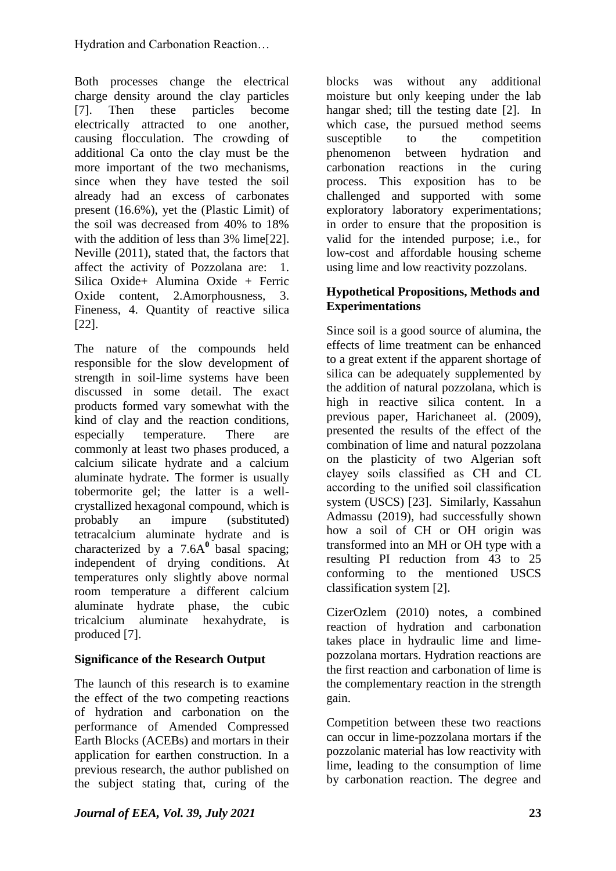Both processes change the electrical charge density around the clay particles [7]. Then these particles become electrically attracted to one another, causing flocculation. The crowding of additional Ca onto the clay must be the more important of the two mechanisms, since when they have tested the soil already had an excess of carbonates present (16.6%), yet the (Plastic Limit) of the soil was decreased from 40% to 18% with the addition of less than 3% lime<sup>[22]</sup>. Neville (2011), stated that, the factors that affect the activity of Pozzolana are: 1. Silica Oxide+ Alumina Oxide + Ferric Oxide content, 2.Amorphousness, 3. Fineness, 4. Quantity of reactive silica [22].

The nature of the compounds held responsible for the slow development of strength in soil-lime systems have been discussed in some detail. The exact products formed vary somewhat with the kind of clay and the reaction conditions, especially temperature. There are commonly at least two phases produced, a calcium silicate hydrate and a calcium aluminate hydrate. The former is usually tobermorite gel; the latter is a wellcrystallized hexagonal compound, which is probably an impure (substituted) tetracalcium aluminate hydrate and is characterized by a  $7.6A^0$  basal spacing; independent of drying conditions. At temperatures only slightly above normal room temperature a different calcium aluminate hydrate phase, the cubic tricalcium aluminate hexahydrate, is produced [7].

## **Significance of the Research Output**

The launch of this research is to examine the effect of the two competing reactions of hydration and carbonation on the performance of Amended Compressed Earth Blocks (ACEBs) and mortars in their application for earthen construction. In a previous research, the author published on the subject stating that, curing of the

blocks was without any additional moisture but only keeping under the lab hangar shed; till the testing date [2]. In which case, the pursued method seems susceptible to the competition phenomenon between hydration and carbonation reactions in the curing process. This exposition has to be challenged and supported with some exploratory laboratory experimentations; in order to ensure that the proposition is valid for the intended purpose; i.e., for low-cost and affordable housing scheme using lime and low reactivity pozzolans.

### **Hypothetical Propositions, Methods and Experimentations**

Since soil is a good source of alumina, the effects of lime treatment can be enhanced to a great extent if the apparent shortage of silica can be adequately supplemented by the addition of natural pozzolana, which is high in reactive silica content. In a previous paper, Harichaneet al. (2009), presented the results of the effect of the combination of lime and natural pozzolana on the plasticity of two Algerian soft clayey soils classified as CH and CL according to the unified soil classification system (USCS) [23]. Similarly, Kassahun Admassu (2019), had successfully shown how a soil of CH or OH origin was transformed into an MH or OH type with a resulting PI reduction from 43 to 25 conforming to the mentioned USCS classification system [2].

CizerOzlem (2010) notes, a combined reaction of hydration and carbonation takes place in hydraulic lime and limepozzolana mortars. Hydration reactions are the first reaction and carbonation of lime is the complementary reaction in the strength gain.

Competition between these two reactions can occur in lime-pozzolana mortars if the pozzolanic material has low reactivity with lime, leading to the consumption of lime by carbonation reaction. The degree and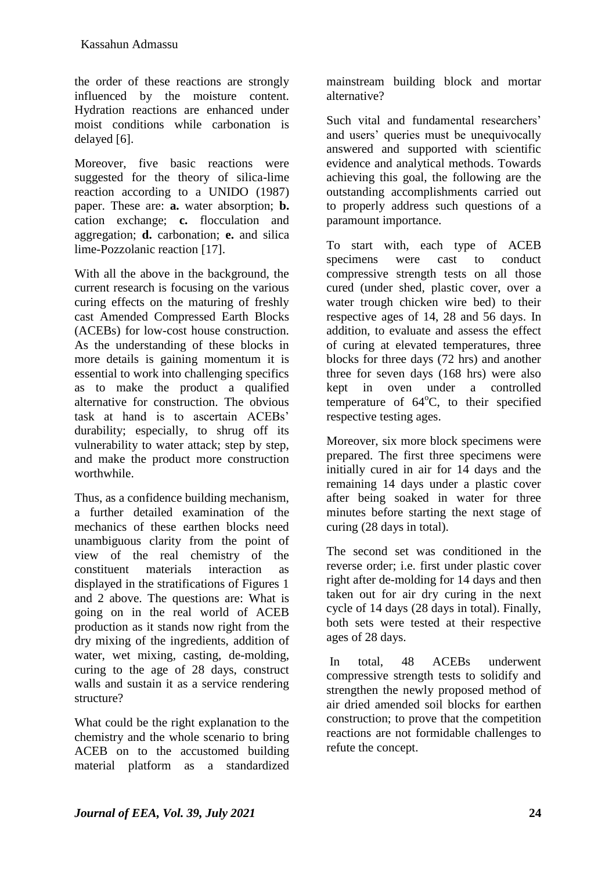the order of these reactions are strongly influenced by the moisture content. Hydration reactions are enhanced under moist conditions while carbonation is delayed [6].

Moreover, five basic reactions were suggested for the theory of silica-lime reaction according to a UNIDO (1987) paper. These are: **a.** water absorption; **b.** cation exchange; **c.** flocculation and aggregation; **d.** carbonation; **e.** and silica lime-Pozzolanic reaction [17].

With all the above in the background, the current research is focusing on the various curing effects on the maturing of freshly cast Amended Compressed Earth Blocks (ACEBs) for low-cost house construction. As the understanding of these blocks in more details is gaining momentum it is essential to work into challenging specifics as to make the product a qualified alternative for construction. The obvious task at hand is to ascertain ACEBs' durability; especially, to shrug off its vulnerability to water attack; step by step, and make the product more construction worthwhile.

Thus, as a confidence building mechanism, a further detailed examination of the mechanics of these earthen blocks need unambiguous clarity from the point of view of the real chemistry of the constituent materials interaction as displayed in the stratifications of Figures 1 and 2 above. The questions are: What is going on in the real world of ACEB production as it stands now right from the dry mixing of the ingredients, addition of water, wet mixing, casting, de-molding, curing to the age of 28 days, construct walls and sustain it as a service rendering structure?

What could be the right explanation to the chemistry and the whole scenario to bring ACEB on to the accustomed building material platform as a standardized mainstream building block and mortar alternative?

Such vital and fundamental researchers' and users' queries must be unequivocally answered and supported with scientific evidence and analytical methods. Towards achieving this goal, the following are the outstanding accomplishments carried out to properly address such questions of a paramount importance.

To start with, each type of ACEB specimens were cast to conduct compressive strength tests on all those cured (under shed, plastic cover, over a water trough chicken wire bed) to their respective ages of 14, 28 and 56 days. In addition, to evaluate and assess the effect of curing at elevated temperatures, three blocks for three days (72 hrs) and another three for seven days (168 hrs) were also kept in oven under a controlled temperature of 64°C, to their specified respective testing ages.

Moreover, six more block specimens were prepared. The first three specimens were initially cured in air for 14 days and the remaining 14 days under a plastic cover after being soaked in water for three minutes before starting the next stage of curing (28 days in total).

The second set was conditioned in the reverse order; i.e. first under plastic cover right after de-molding for 14 days and then taken out for air dry curing in the next cycle of 14 days (28 days in total). Finally, both sets were tested at their respective ages of 28 days.

In total, 48 ACEBs underwent compressive strength tests to solidify and strengthen the newly proposed method of air dried amended soil blocks for earthen construction; to prove that the competition reactions are not formidable challenges to refute the concept.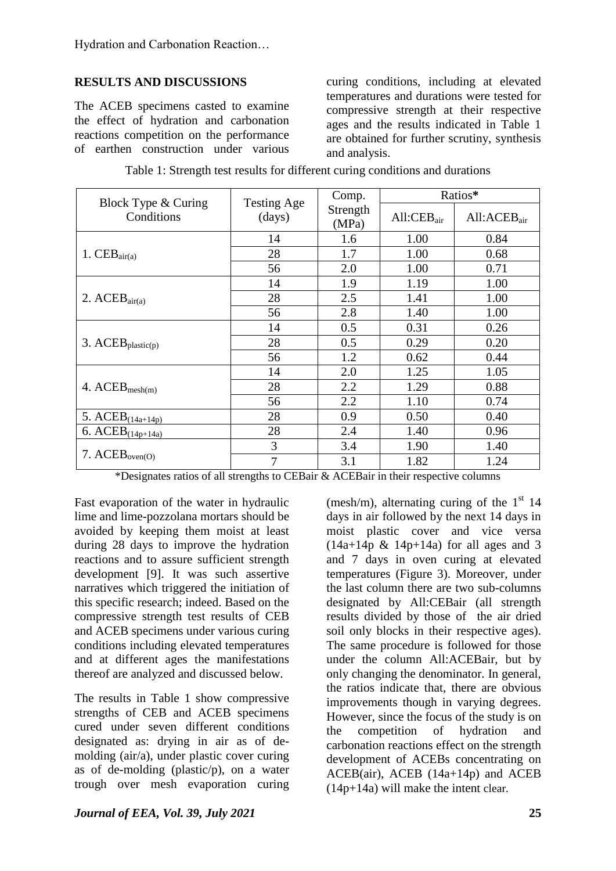## **RESULTS AND DISCUSSIONS**

The ACEB specimens casted to examine the effect of hydration and carbonation reactions competition on the performance of earthen construction under various curing conditions, including at elevated temperatures and durations were tested for compressive strength at their respective ages and the results indicated in Table 1 are obtained for further scrutiny, synthesis and analysis.

| Block Type & Curing    | <b>Testing Age</b> | Comp.             | Ratios*                |                  |  |
|------------------------|--------------------|-------------------|------------------------|------------------|--|
| Conditions             | (days)             | Strength<br>(MPa) | All:CEB <sub>air</sub> | $All:ACEB_{air}$ |  |
|                        | 14                 | 1.6               | 1.00                   | 0.84             |  |
| 1. $CEB_{air(a)}$      | 28                 | 1.7               | 1.00                   | 0.68             |  |
|                        | 56                 | 2.0               | 1.00                   | 0.71             |  |
|                        | 14                 | 1.9               | 1.19                   | 1.00             |  |
| 2. $ACEB_{air(a)}$     | 28                 | 2.5               | 1.41                   | 1.00             |  |
|                        | 56                 | 2.8               | 1.40                   | 1.00             |  |
|                        | 14                 | 0.5               | 0.31                   | 0.26             |  |
| 3. $ACEB_{plastic(p)}$ | 28                 | 0.5               | 0.29                   | 0.20             |  |
|                        | 56                 | 1.2               | 0.62                   | 0.44             |  |
|                        | 14                 | 2.0               | 1.25                   | 1.05             |  |
| 4. $ACEB_{mesh(m)}$    | 28                 | 2.2               | 1.29                   | 0.88             |  |
|                        | 56                 | 2.2               | 1.10                   | 0.74             |  |
| 5. $ACEB_{(14a+14p)}$  | 28                 | 0.9               | 0.50                   | 0.40             |  |
| 6. $ACEB_{(14p+14a)}$  | 28                 | 2.4               | 1.40                   | 0.96             |  |
| 7. $ACEB_{oven(O)}$    | 3                  | 3.4               | 1.90                   | 1.40             |  |
|                        | $\overline{7}$     | 3.1               | 1.82                   | 1.24             |  |

| Table 1: Strength test results for different curing conditions and durations |  |  |  |  |
|------------------------------------------------------------------------------|--|--|--|--|
|                                                                              |  |  |  |  |
|                                                                              |  |  |  |  |
|                                                                              |  |  |  |  |

\*Designates ratios of all strengths to CEBair & ACEBair in their respective columns

Fast evaporation of the water in hydraulic lime and lime-pozzolana mortars should be avoided by keeping them moist at least during 28 days to improve the hydration reactions and to assure sufficient strength development [9]. It was such assertive narratives which triggered the initiation of this specific research; indeed. Based on the compressive strength test results of CEB and ACEB specimens under various curing conditions including elevated temperatures and at different ages the manifestations thereof are analyzed and discussed below.

The results in Table 1 show compressive strengths of CEB and ACEB specimens cured under seven different conditions designated as: drying in air as of demolding (air/a), under plastic cover curing as of de-molding (plastic/p), on a water trough over mesh evaporation curing (mesh/m), alternating curing of the  $1<sup>st</sup> 14$ days in air followed by the next 14 days in moist plastic cover and vice versa  $(14a+14p \& 14p+14a)$  for all ages and 3 and 7 days in oven curing at elevated temperatures (Figure 3). Moreover, under the last column there are two sub-columns designated by All:CEBair (all strength results divided by those of the air dried soil only blocks in their respective ages). The same procedure is followed for those under the column All:ACEBair, but by only changing the denominator. In general, the ratios indicate that, there are obvious improvements though in varying degrees. However, since the focus of the study is on the competition of hydration and carbonation reactions effect on the strength development of ACEBs concentrating on ACEB(air), ACEB (14a+14p) and ACEB (14p+14a) will make the intent clear.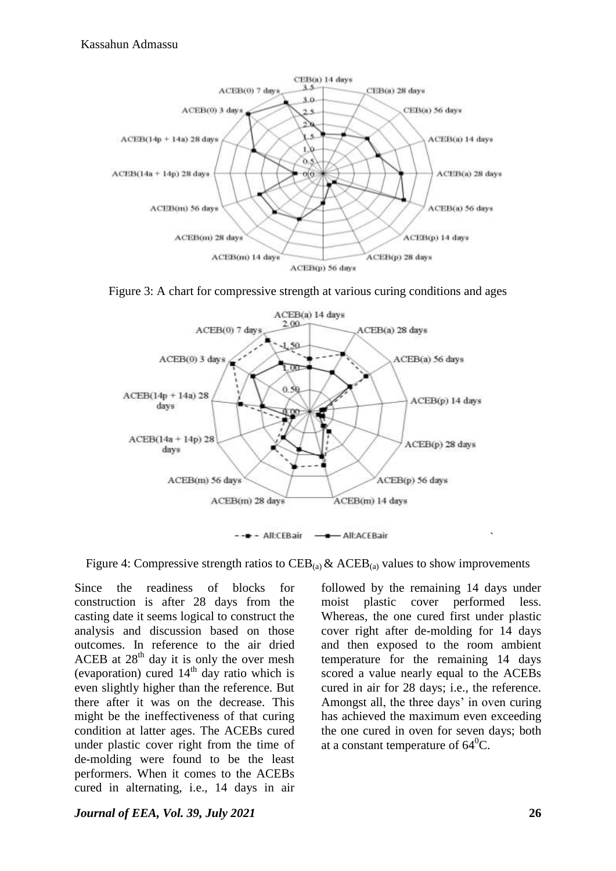

Figure 3: A chart for compressive strength at various curing conditions and ages



Figure 4: Compressive strength ratios to  $CEB_{(a)} & ACEB_{(a)}$  values to show improvements

Since the readiness of blocks for construction is after 28 days from the casting date it seems logical to construct the analysis and discussion based on those outcomes. In reference to the air dried ACEB at  $28<sup>th</sup>$  day it is only the over mesh (evaporation) cured  $14<sup>th</sup>$  day ratio which is even slightly higher than the reference. But there after it was on the decrease. This might be the ineffectiveness of that curing condition at latter ages. The ACEBs cured under plastic cover right from the time of de-molding were found to be the least performers. When it comes to the ACEBs cured in alternating, i.e., 14 days in air

*Journal of EEA, Vol. 39, July 2021* **26**

followed by the remaining 14 days under moist plastic cover performed less. Whereas, the one cured first under plastic cover right after de-molding for 14 days and then exposed to the room ambient temperature for the remaining 14 days scored a value nearly equal to the ACEBs cured in air for 28 days; i.e., the reference. Amongst all, the three days' in oven curing has achieved the maximum even exceeding the one cured in oven for seven days; both at a constant temperature of  $64^{\circ}$ C.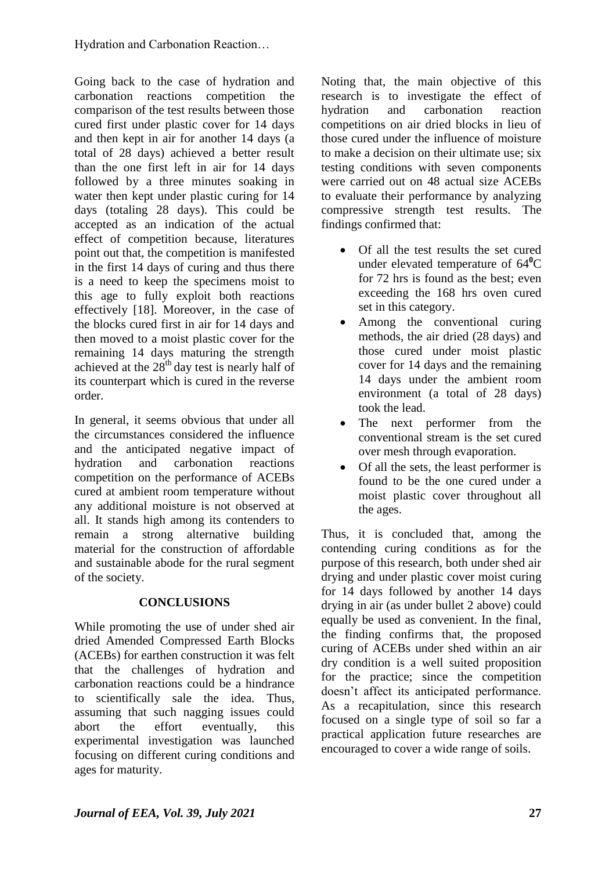Going back to the case of hydration and carbonation reactions competition the comparison of the test results between those cured first under plastic cover for 14 days and then kept in air for another 14 days (a total of 28 days) achieved a better result than the one first left in air for 14 days followed by a three minutes soaking in water then kept under plastic curing for 14 days (totaling 28 days). This could be accepted as an indication of the actual effect of competition because, literatures point out that, the competition is manifested in the first 14 days of curing and thus there is a need to keep the specimens moist to this age to fully exploit both reactions effectively [18]. Moreover, in the case of the blocks cured first in air for 14 days and then moved to a moist plastic cover for the remaining 14 days maturing the strength achieved at the  $28<sup>th</sup>$  day test is nearly half of its counterpart which is cured in the reverse order.

In general, it seems obvious that under all the circumstances considered the influence and the anticipated negative impact of hydration and carbonation reactions competition on the performance of ACEBs cured at ambient room temperature without any additional moisture is not observed at all. It stands high among its contenders to remain a strong alternative building material for the construction of affordable and sustainable abode for the rural segment of the society.

## **CONCLUSIONS**

While promoting the use of under shed air dried Amended Compressed Earth Blocks (ACEBs) for earthen construction it was felt that the challenges of hydration and carbonation reactions could be a hindrance to scientifically sale the idea. Thus, assuming that such nagging issues could abort the effort eventually, this experimental investigation was launched focusing on different curing conditions and ages for maturity.

Noting that, the main objective of this research is to investigate the effect of hydration and carbonation reaction competitions on air dried blocks in lieu of those cured under the influence of moisture to make a decision on their ultimate use; six testing conditions with seven components were carried out on 48 actual size ACEBs to evaluate their performance by analyzing compressive strength test results. The findings confirmed that:

- Of all the test results the set cured under elevated temperature of 64**<sup>0</sup>**C for 72 hrs is found as the best; even exceeding the 168 hrs oven cured set in this category.
- Among the conventional curing methods, the air dried (28 days) and those cured under moist plastic cover for 14 days and the remaining 14 days under the ambient room environment (a total of 28 days) took the lead.
- The next performer from the conventional stream is the set cured over mesh through evaporation.
- Of all the sets, the least performer is found to be the one cured under a moist plastic cover throughout all the ages.

Thus, it is concluded that, among the contending curing conditions as for the purpose of this research, both under shed air drying and under plastic cover moist curing for 14 days followed by another 14 days drying in air (as under bullet 2 above) could equally be used as convenient. In the final, the finding confirms that, the proposed curing of ACEBs under shed within an air dry condition is a well suited proposition for the practice; since the competition doesn't affect its anticipated performance. As a recapitulation, since this research focused on a single type of soil so far a practical application future researches are encouraged to cover a wide range of soils.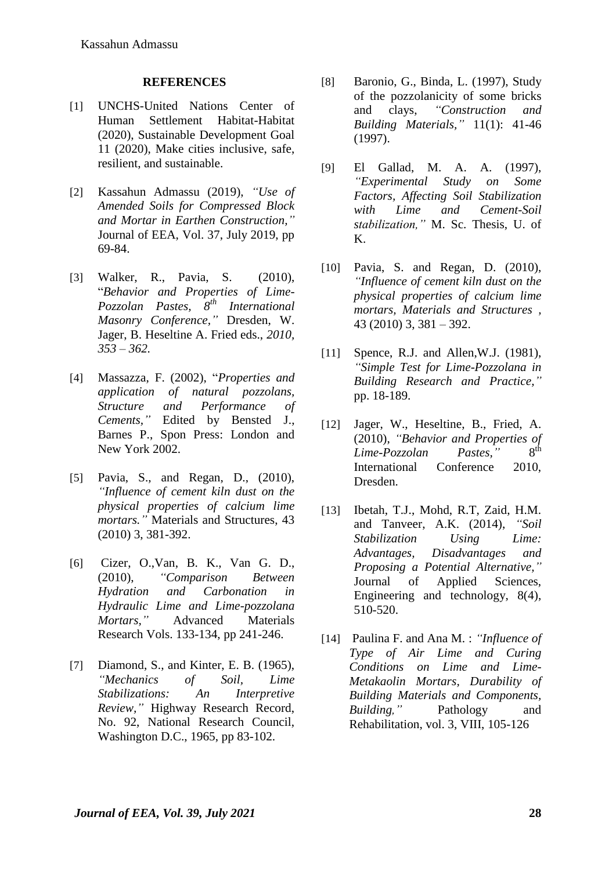#### **REFERENCES**

- [1] UNCHS-United Nations Center of Human Settlement Habitat-Habitat (2020), Sustainable Development Goal 11 (2020), Make cities inclusive, safe, resilient, and sustainable.
- [2] Kassahun Admassu (2019), *"Use of Amended Soils for Compressed Block and Mortar in Earthen Construction,"* Journal of EEA, Vol. 37, July 2019, pp 69-84.
- [3] Walker, R., Pavia, S. (2010), "*Behavior and Properties of Lime-Pozzolan Pastes, 8th International Masonry Conference,"* Dresden, W. Jager, B. Heseltine A. Fried eds., *2010, 353 – 362.*
- [4] Massazza, F. (2002), "*Properties and application of natural pozzolans, Structure and Performance of Cements,"* Edited by Bensted J., Barnes P., Spon Press: London and New York 2002.
- [5] Pavia, S., and Regan, D., (2010), *"Influence of cement kiln dust on the physical properties of calcium lime mortars."* Materials and Structures, 43 (2010) 3, 381-392.
- [6] Cizer, O.,Van, B. K., Van G. D., (2010), *"Comparison Between Hydration and Carbonation in Hydraulic Lime and Lime-pozzolana Mortars,"* Advanced Materials Research Vols. 133-134, pp 241-246.
- [7] Diamond, S., and Kinter, E. B. (1965), *"Mechanics of Soil, Lime Stabilizations: An Interpretive Review,"* Highway Research Record, No. 92, National Research Council, Washington D.C., 1965, pp 83-102.
- [8] Baronio, G., Binda, L. (1997), Study of the pozzolanicity of some bricks and clays, *"Construction and Building Materials,"* 11(1): 41-46 (1997).
- [9] El Gallad, M. A. A. (1997), *"Experimental Study on Some Factors, Affecting Soil Stabilization with Lime and Cement-Soil stabilization,"* M. Sc. Thesis, U. of K.
- [10] Pavia, S. and Regan, D. (2010), *"Influence of cement kiln dust on the physical properties of calcium lime mortars, Materials and Structures ,* 43 (2010) 3, 381 – 392.
- [11] Spence, R.J. and Allen, W.J. (1981), *"Simple Test for Lime-Pozzolana in Building Research and Practice,"* pp. 18-189.
- [12] Jager, W., Heseltine, B., Fried, A. (2010), *"Behavior and Properties of Lime-Pozzolan Pastes,"*  $8<sup>th</sup>$ International Conference 2010, Dresden.
- [13] Ibetah, T.J., Mohd, R.T. Zaid, H.M. and Tanveer, A.K. (2014), *"Soil Stabilization Using Lime: Advantages, Disadvantages and Proposing a Potential Alternative,"* Journal of Applied Sciences, Engineering and technology, 8(4), 510-520.
- [14] Paulina F. and Ana M. : *"Influence of Type of Air Lime and Curing Conditions on Lime and Lime-Metakaolin Mortars, Durability of Building Materials and Components, Building,"* Pathology and Rehabilitation, vol. 3, VIII, 105-126